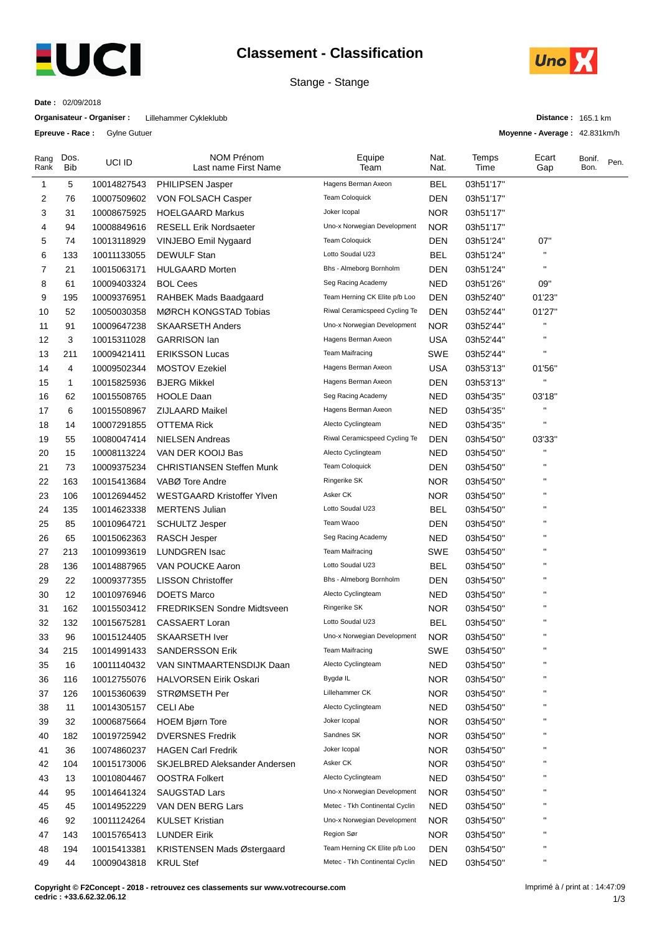

## **Classement - Classification**

Stange - Stange



**Date :** 02/09/2018

**Organisateur - Organiser :** Lillehammer Cykleklubb

**Epreuve - Race :** Gylne Gutuer

**Distance :** 165.1 km

**Moyenne - Average :** 42.831km/h

| Rang<br>Rank | Dos.<br>Bib  | UCI ID      | <b>NOM Prénom</b><br>Last name First Name | Equipe<br>Team                 | Nat.<br>Nat. | Temps<br>Time | Ecart<br>Gap           | Bonif.<br>Bon. | Pen. |
|--------------|--------------|-------------|-------------------------------------------|--------------------------------|--------------|---------------|------------------------|----------------|------|
| 1            | 5            | 10014827543 | <b>PHILIPSEN Jasper</b>                   | Hagens Berman Axeon            | <b>BEL</b>   | 03h51'17"     |                        |                |      |
| 2            | 76           | 10007509602 | VON FOLSACH Casper                        | Team Coloquick                 | DEN          | 03h51'17"     |                        |                |      |
| 3            | 31           | 10008675925 | <b>HOELGAARD Markus</b>                   | Joker Icopal                   | <b>NOR</b>   | 03h51'17"     |                        |                |      |
| 4            | 94           | 10008849616 | <b>RESELL Erik Nordsaeter</b>             | Uno-x Norwegian Development    | <b>NOR</b>   | 03h51'17"     |                        |                |      |
| 5            | 74           | 10013118929 | VINJEBO Emil Nygaard                      | <b>Team Coloquick</b>          | DEN          | 03h51'24"     | 07"                    |                |      |
| 6            | 133          | 10011133055 | <b>DEWULF Stan</b>                        | Lotto Soudal U23               | <b>BEL</b>   | 03h51'24"     | $\pmb{\shortparallel}$ |                |      |
| 7            | 21           | 10015063171 | <b>HULGAARD Morten</b>                    | Bhs - Almeborg Bornholm        | DEN          | 03h51'24"     | $\pmb{\mathsf{H}}$     |                |      |
| 8            | 61           | 10009403324 | <b>BOL Cees</b>                           | Seg Racing Academy             | <b>NED</b>   | 03h51'26"     | 09"                    |                |      |
| 9            | 195          | 10009376951 | RAHBEK Mads Baadgaard                     | Team Herning CK Elite p/b Loo  | <b>DEN</b>   | 03h52'40"     | 01'23"                 |                |      |
| 10           | 52           | 10050030358 | MØRCH KONGSTAD Tobias                     | Riwal Ceramicspeed Cycling Te  | <b>DEN</b>   | 03h52'44"     | 01'27"                 |                |      |
| 11           | 91           | 10009647238 | <b>SKAARSETH Anders</b>                   | Uno-x Norwegian Development    | <b>NOR</b>   | 03h52'44"     | п                      |                |      |
| 12           | 3            | 10015311028 | <b>GARRISON lan</b>                       | Hagens Berman Axeon            | <b>USA</b>   | 03h52'44"     | п                      |                |      |
| 13           | 211          | 10009421411 | <b>ERIKSSON Lucas</b>                     | <b>Team Maifracing</b>         | SWE          | 03h52'44"     | $\blacksquare$         |                |      |
| 14           | 4            | 10009502344 | <b>MOSTOV Ezekiel</b>                     | Hagens Berman Axeon            | <b>USA</b>   | 03h53'13"     | 01'56"                 |                |      |
| 15           | $\mathbf{1}$ | 10015825936 | <b>BJERG Mikkel</b>                       | Hagens Berman Axeon            | <b>DEN</b>   | 03h53'13"     | п                      |                |      |
| 16           | 62           | 10015508765 | <b>HOOLE Daan</b>                         | Seg Racing Academy             | <b>NED</b>   | 03h54'35"     | 03'18"                 |                |      |
| 17           | 6            | 10015508967 | <b>ZIJLAARD Maikel</b>                    | Hagens Berman Axeon            | <b>NED</b>   | 03h54'35"     | $\pmb{\mathsf{H}}$     |                |      |
| 18           | 14           | 10007291855 | <b>OTTEMA Rick</b>                        | Alecto Cyclingteam             | <b>NED</b>   | 03h54'35"     | $\pmb{\mathsf{H}}$     |                |      |
| 19           | 55           | 10080047414 | <b>NIELSEN Andreas</b>                    | Riwal Ceramicspeed Cycling Te  | DEN          | 03h54'50"     | 03'33"                 |                |      |
| 20           | 15           | 10008113224 | VAN DER KOOIJ Bas                         | Alecto Cyclingteam             | <b>NED</b>   | 03h54'50"     |                        |                |      |
| 21           | 73           | 10009375234 | <b>CHRISTIANSEN Steffen Munk</b>          | <b>Team Coloquick</b>          | <b>DEN</b>   | 03h54'50"     | $\blacksquare$         |                |      |
| 22           | 163          | 10015413684 | VABØ Tore Andre                           | Ringerike SK                   | <b>NOR</b>   | 03h54'50"     | $\pmb{\mathsf{H}}$     |                |      |
| 23           | 106          | 10012694452 | <b>WESTGAARD Kristoffer Ylven</b>         | Asker CK                       | <b>NOR</b>   | 03h54'50"     | $\pmb{\mathsf{H}}$     |                |      |
| 24           | 135          | 10014623338 | <b>MERTENS Julian</b>                     | Lotto Soudal U23               | <b>BEL</b>   | 03h54'50"     | $\pmb{\mathsf{H}}$     |                |      |
| 25           | 85           | 10010964721 | <b>SCHULTZ Jesper</b>                     | Team Waoo                      | <b>DEN</b>   | 03h54'50"     | $\pmb{\mathsf{H}}$     |                |      |
| 26           | 65           | 10015062363 | <b>RASCH Jesper</b>                       | Seg Racing Academy             | <b>NED</b>   | 03h54'50"     | п                      |                |      |
| 27           | 213          | 10010993619 | <b>LUNDGREN Isac</b>                      | <b>Team Maifracing</b>         | SWE          | 03h54'50"     | п                      |                |      |
| 28           | 136          | 10014887965 | VAN POUCKE Aaron                          | Lotto Soudal U23               | <b>BEL</b>   | 03h54'50"     | п                      |                |      |
| 29           | 22           | 10009377355 | <b>LISSON Christoffer</b>                 | Bhs - Almeborg Bornholm        | <b>DEN</b>   | 03h54'50"     | $\pmb{\mathsf{H}}$     |                |      |
| 30           | 12           | 10010976946 | <b>DOETS Marco</b>                        | Alecto Cyclingteam             | <b>NED</b>   | 03h54'50"     | $\pmb{\shortparallel}$ |                |      |
| 31           | 162          | 10015503412 | <b>FREDRIKSEN Sondre Midtsveen</b>        | Ringerike SK                   | <b>NOR</b>   | 03h54'50"     | $\pmb{\mathsf{H}}$     |                |      |
| 32           | 132          | 10015675281 | <b>CASSAERT Loran</b>                     | Lotto Soudal U23               | <b>BEL</b>   | 03h54'50"     | $\pmb{\mathsf{H}}$     |                |      |
| 33           | 96           | 10015124405 | <b>SKAARSETH Iver</b>                     | Uno-x Norwegian Development    | <b>NOR</b>   | 03h54'50''    | $\pmb{\mathsf{H}}$     |                |      |
| 34           | 215          | 10014991433 | SANDERSSON Erik                           | <b>Team Maifracing</b>         | SWE          | 03h54'50"     |                        |                |      |
| 35           | 16           | 10011140432 | VAN SINTMAARTENSDIJK Daan                 | Alecto Cyclingteam             | <b>NED</b>   | 03h54'50"     | п                      |                |      |
| 36           | 116          | 10012755076 | <b>HALVORSEN Eirik Oskari</b>             | Bygdø IL                       | <b>NOR</b>   | 03h54'50"     | п                      |                |      |
| 37           | 126          | 10015360639 | STRØMSETH Per                             | Lillehammer CK                 | NOR.         | 03h54'50"     | п                      |                |      |
| 38           | 11           | 10014305157 | <b>CELI Abe</b>                           | Alecto Cyclingteam             | <b>NED</b>   | 03h54'50"     | п                      |                |      |
| 39           | 32           | 10006875664 | <b>HOEM Bjørn Tore</b>                    | Joker Icopal                   | <b>NOR</b>   | 03h54'50"     | п                      |                |      |
| 40           | 182          | 10019725942 | <b>DVERSNES Fredrik</b>                   | Sandnes SK                     | <b>NOR</b>   | 03h54'50"     | п                      |                |      |
| 41           | 36           | 10074860237 | <b>HAGEN Carl Fredrik</b>                 | Joker Icopal                   | <b>NOR</b>   | 03h54'50"     | $\pmb{\shortparallel}$ |                |      |
| 42           | 104          | 10015173006 | SKJELBRED Aleksander Andersen             | Asker CK                       | <b>NOR</b>   | 03h54'50"     | п                      |                |      |
| 43           | 13           | 10010804467 | <b>OOSTRA Folkert</b>                     | Alecto Cyclingteam             | <b>NED</b>   | 03h54'50"     | п                      |                |      |
| 44           | 95           | 10014641324 | SAUGSTAD Lars                             | Uno-x Norwegian Development    | <b>NOR</b>   | 03h54'50"     | п                      |                |      |
| 45           | 45           | 10014952229 | VAN DEN BERG Lars                         | Metec - Tkh Continental Cyclin | <b>NED</b>   | 03h54'50"     | п                      |                |      |
| 46           | 92           | 10011124264 | <b>KULSET Kristian</b>                    | Uno-x Norwegian Development    | <b>NOR</b>   | 03h54'50"     | $\pmb{\mathsf{H}}$     |                |      |
| 47           | 143          | 10015765413 | <b>LUNDER Eirik</b>                       | Region Sør                     | <b>NOR</b>   | 03h54'50"     | $\pmb{\shortparallel}$ |                |      |
| 48           | 194          | 10015413381 | KRISTENSEN Mads Østergaard                | Team Herning CK Elite p/b Loo  | <b>DEN</b>   | 03h54'50"     | $\pmb{\mathsf{H}}$     |                |      |
| 49           | 44           | 10009043818 | <b>KRUL Stef</b>                          | Metec - Tkh Continental Cyclin | <b>NED</b>   | 03h54'50"     | $\blacksquare$         |                |      |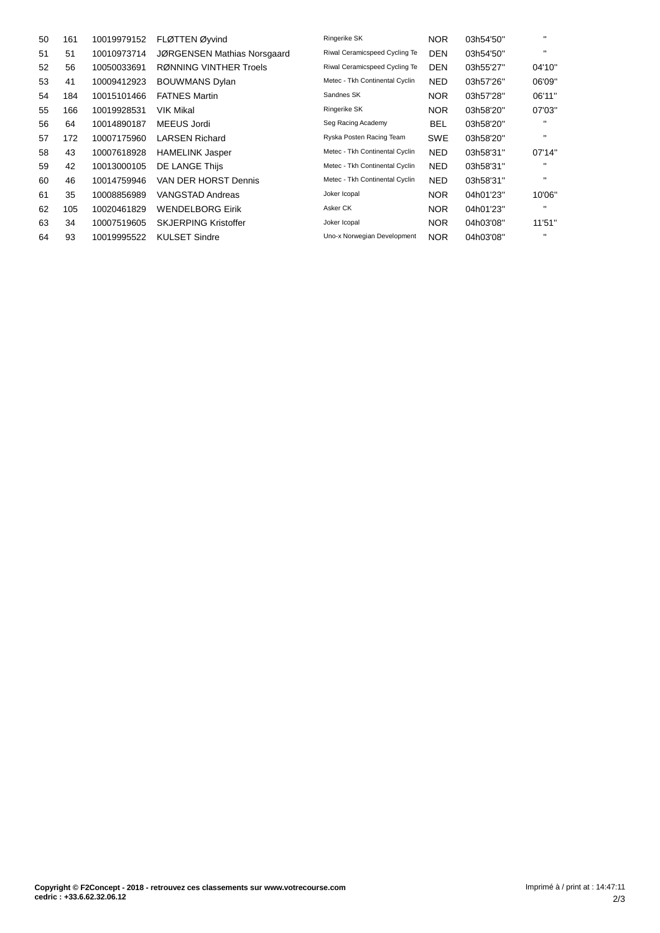| 50 | 161 | 10019979152 | FLØTTEN Øyvind              | Ringerike SK                   | <b>NOR</b> | 03h54'50" | п            |
|----|-----|-------------|-----------------------------|--------------------------------|------------|-----------|--------------|
| 51 | 51  | 10010973714 | JØRGENSEN Mathias Norsgaard | Riwal Ceramicspeed Cycling Te  | <b>DEN</b> | 03h54'50" | $\mathbf{H}$ |
| 52 | 56  | 10050033691 | RØNNING VINTHER Troels      | Riwal Ceramicspeed Cycling Te  | <b>DEN</b> | 03h55'27" | 04'10"       |
| 53 | 41  | 10009412923 | <b>BOUWMANS Dylan</b>       | Metec - Tkh Continental Cyclin | <b>NED</b> | 03h57'26" | 06'09"       |
| 54 | 184 | 10015101466 | <b>FATNES Martin</b>        | Sandnes SK                     | <b>NOR</b> | 03h57'28" | 06'11"       |
| 55 | 166 | 10019928531 | <b>VIK Mikal</b>            | Ringerike SK                   | <b>NOR</b> | 03h58'20" | 07'03"       |
| 56 | 64  | 10014890187 | MEEUS Jordi                 | Seg Racing Academy             | <b>BEL</b> | 03h58'20" | п            |
| 57 | 172 | 10007175960 | <b>LARSEN Richard</b>       | Ryska Posten Racing Team       | <b>SWE</b> | 03h58'20" | $\mathbf{H}$ |
| 58 | 43  | 10007618928 | <b>HAMELINK Jasper</b>      | Metec - Tkh Continental Cyclin | <b>NED</b> | 03h58'31" | 07'14"       |
| 59 | 42  | 10013000105 | DE LANGE Thijs              | Metec - Tkh Continental Cyclin | <b>NED</b> | 03h58'31" | $\mathbf{H}$ |
| 60 | 46  | 10014759946 | VAN DER HORST Dennis        | Metec - Tkh Continental Cyclin | <b>NED</b> | 03h58'31" | $\mathbf{H}$ |
| 61 | 35  | 10008856989 | VANGSTAD Andreas            | Joker Icopal                   | <b>NOR</b> | 04h01'23" | 10'06"       |
| 62 | 105 | 10020461829 | <b>WENDELBORG Eirik</b>     | Asker CK                       | <b>NOR</b> | 04h01'23" | $\mathbf{H}$ |
| 63 | 34  | 10007519605 | <b>SKJERPING Kristoffer</b> | Joker Icopal                   | <b>NOR</b> | 04h03'08" | 11'51"       |
| 64 | 93  | 10019995522 | <b>KULSET Sindre</b>        | Uno-x Norwegian Development    | <b>NOR</b> | 04h03'08" | $\mathbf{H}$ |